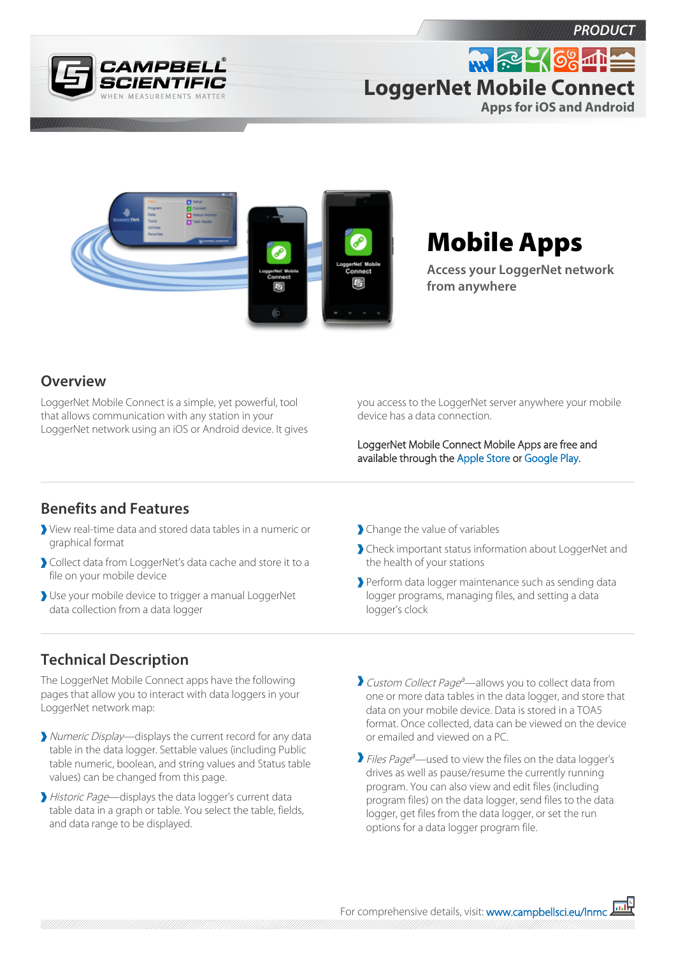





# Mobile Apps

**Access your LoggerNet network from anywhere**

### **Overview**

LoggerNet Mobile Connect is a simple, yet powerful, tool that allows communication with any station in your LoggerNet network using an iOS or Android device. It gives you access to the LoggerNet server anywhere your mobile device has a data connection.

LoggerNet Mobile Connect Mobile Apps are free and available through the [Apple Store](https://itunes.apple.com/us/app/loggernet-mobile-connect/id834973610?mt=8) or [Google Play.](https://play.google.com/store/apps/details?id=com.campbellsci.loggernetmobile&hl=en)

### **Benefits and Features**

- View real-time data and stored data tables in a numeric or graphical format
- Collect data from LoggerNet's data cache and store it to a file on your mobile device
- Use your mobile device to trigger a manual LoggerNet data collection from a data logger

## **Technical Description**

The LoggerNet Mobile Connect apps have the following pages that allow you to interact with data loggers in your LoggerNet network map:

- Numeric Display—displays the current record for any data table in the data logger. Settable values (including Public table numeric, boolean, and string values and Status table values) can be changed from this page.
- Historic Page—displays the data logger's current data table data in a graph or table. You select the table, fields, and data range to be displayed.
- Change the value of variables
- Check important status information about LoggerNet and the health of your stations
- Perform data logger maintenance such as sending data logger programs, managing files, and setting a data logger's clock
- Custom Collect Page<sup>a</sup>—allows you to collect data from one or more data tables in the data logger, and store that data on your mobile device. Data is stored in a TOA5 format. Once collected, data can be viewed on the device or emailed and viewed on a PC.
- Files Page<sup>a</sup>—used to view the files on the data logger's drives as well as pause/resume the currently running program. You can also view and edit files (including program files) on the data logger, send files to the data logger, get files from the data logger, or set the run options for a data logger program file.